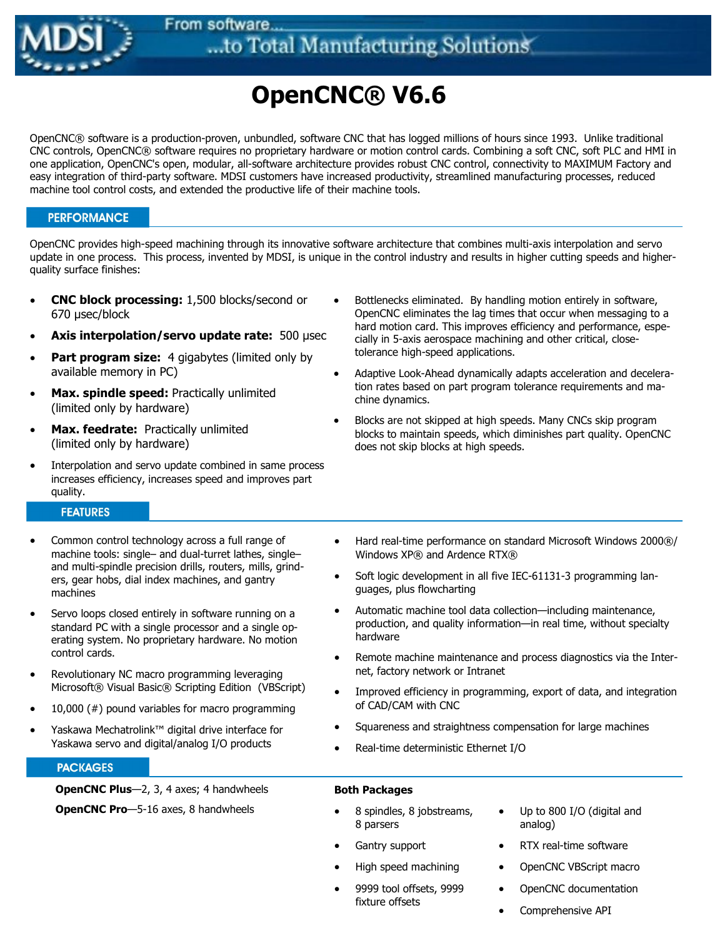

# OpenCNC® V6.6

OpenCNC® software is a production-proven, unbundled, software CNC that has logged millions of hours since 1993. Unlike traditional CNC controls, OpenCNC® software requires no proprietary hardware or motion control cards. Combining a soft CNC, soft PLC and HMI in one application, OpenCNC's open, modular, all-software architecture provides robust CNC control, connectivity to MAXIMUM Factory and easy integration of third-party software. MDSI customers have increased productivity, streamlined manufacturing processes, reduced machine tool control costs, and extended the productive life of their machine tools.

# **PERFORMANCE**

OpenCNC provides high-speed machining through its innovative software architecture that combines multi-axis interpolation and servo update in one process. This process, invented by MDSI, is unique in the control industry and results in higher cutting speeds and higherquality surface finishes:

- CNC block processing: 1,500 blocks/second or 670 µsec/block
- Axis interpolation/servo update rate:  $500 \mu$ sec
- Part program size: 4 gigabytes (limited only by available memory in PC)
- Max. spindle speed: Practically unlimited (limited only by hardware)
- Max. feedrate: Practically unlimited (limited only by hardware)
- Interpolation and servo update combined in same process increases efficiency, increases speed and improves part quality.

# **FEATURES**

- Common control technology across a full range of machine tools: single– and dual-turret lathes, single– and multi-spindle precision drills, routers, mills, grinders, gear hobs, dial index machines, and gantry machines
- Servo loops closed entirely in software running on a standard PC with a single processor and a single operating system. No proprietary hardware. No motion control cards.
- Revolutionary NC macro programming leveraging Microsoft® Visual Basic® Scripting Edition (VBScript)
- 10,000  $(\#)$  pound variables for macro programming
- Yaskawa Mechatrolink™ digital drive interface for Yaskawa servo and digital/analog I/O products

## **PACKAGES**

OpenCNC Plus—2, 3, 4 axes; 4 handwheels

**OpenCNC Pro**-5-16 axes, 8 handwheels

- Bottlenecks eliminated. By handling motion entirely in software, OpenCNC eliminates the lag times that occur when messaging to a hard motion card. This improves efficiency and performance, especially in 5-axis aerospace machining and other critical, closetolerance high-speed applications.
- Adaptive Look-Ahead dynamically adapts acceleration and deceleration rates based on part program tolerance requirements and machine dynamics.
- Blocks are not skipped at high speeds. Many CNCs skip program blocks to maintain speeds, which diminishes part quality. OpenCNC does not skip blocks at high speeds.
- Hard real-time performance on standard Microsoft Windows 2000®/ Windows XP® and Ardence RTX®
- Soft logic development in all five IEC-61131-3 programming languages, plus flowcharting
- Automatic machine tool data collection—including maintenance, production, and quality information—in real time, without specialty hardware
- Remote machine maintenance and process diagnostics via the Internet, factory network or Intranet
- Improved efficiency in programming, export of data, and integration of CAD/CAM with CNC
- Squareness and straightness compensation for large machines
- Real-time deterministic Ethernet I/O

# Both Packages

- 8 spindles, 8 jobstreams, 8 parsers
	- Up to 800 I/O (digital and analog)

• RTX real-time software • OpenCNC VBScript macro

- Gantry support
- High speed machining
- 9999 tool offsets, 9999 fixture offsets
- OpenCNC documentation Comprehensive API